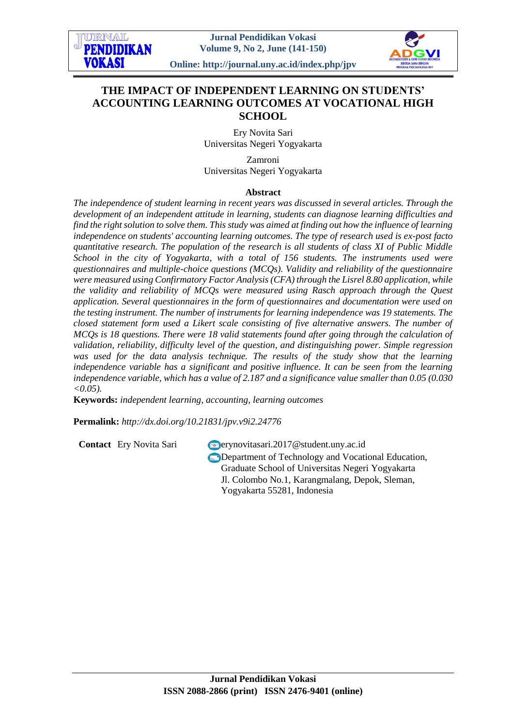



**Online: http://journal.uny.ac.id/index.php/jpv**

# **THE IMPACT OF INDEPENDENT LEARNING ON STUDENTS' ACCOUNTING LEARNING OUTCOMES AT VOCATIONAL HIGH SCHOOL**

Ery Novita Sari Universitas Negeri Yogyakarta

Zamroni Universitas Negeri Yogyakarta

## **Abstract**

*The independence of student learning in recent years was discussed in several articles. Through the development of an independent attitude in learning, students can diagnose learning difficulties and find the right solution to solve them. This study was aimed at finding out how the influence of learning independence on students' accounting learning outcomes. The type of research used is ex-post facto quantitative research. The population of the research is all students of class XI of Public Middle School in the city of Yogyakarta, with a total of 156 students. The instruments used were questionnaires and multiple-choice questions (MCQs). Validity and reliability of the questionnaire were measured using Confirmatory Factor Analysis (CFA) through the Lisrel 8.80 application, while the validity and reliability of MCQs were measured using Rasch approach through the Quest application. Several questionnaires in the form of questionnaires and documentation were used on the testing instrument. The number of instruments for learning independence was 19 statements. The closed statement form used a Likert scale consisting of five alternative answers. The number of MCQs is 18 questions. There were 18 valid statements found after going through the calculation of validation, reliability, difficulty level of the question, and distinguishing power. Simple regression was used for the data analysis technique. The results of the study show that the learning independence variable has a significant and positive influence. It can be seen from the learning independence variable, which has a value of 2.187 and a significance value smaller than 0.05 (0.030 <0.05).*

**Keywords:** *independent learning, accounting, learning outcomes*

**Permalink:** *http://dx.doi.org[/10.21831/jpv.v9i2.24776](http://dx.doi.org/10.21831/jpv.v9i2.24776)*

**Contact** Ery Novita Sari erynovitasari.2017@student.uny.ac.id **Department of Technology and Vocational Education,** Graduate School of Universitas Negeri Yogyakarta Jl. Colombo No.1, Karangmalang, Depok, Sleman, Yogyakarta 55281, Indonesia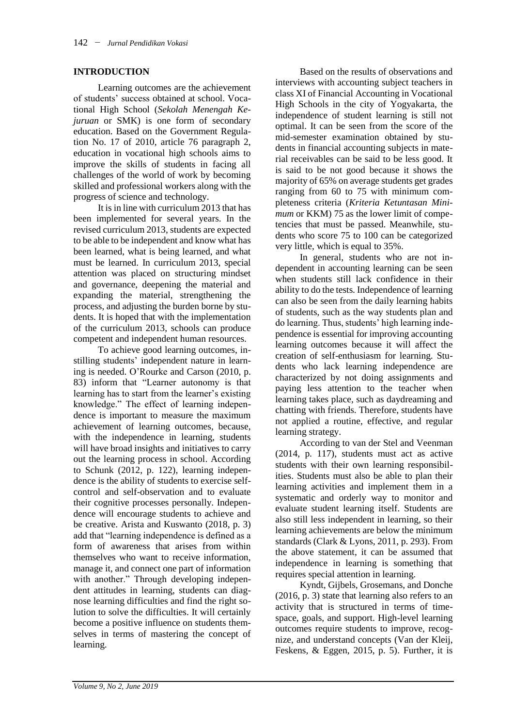## **INTRODUCTION**

Learning outcomes are the achievement of students' success obtained at school. Vocational High School (*Sekolah Menengah Kejuruan* or SMK) is one form of secondary education. Based on the Government Regulation No. 17 of 2010, article 76 paragraph 2, education in vocational high schools aims to improve the skills of students in facing all challenges of the world of work by becoming skilled and professional workers along with the progress of science and technology.

It is in line with curriculum 2013 that has been implemented for several years. In the revised curriculum 2013, students are expected to be able to be independent and know what has been learned, what is being learned, and what must be learned. In curriculum 2013, special attention was placed on structuring mindset and governance, deepening the material and expanding the material, strengthening the process, and adjusting the burden borne by students. It is hoped that with the implementation of the curriculum 2013, schools can produce competent and independent human resources.

To achieve good learning outcomes, instilling students' independent nature in learning is needed. O'Rourke and Carson (2010, p. 83) inform that "Learner autonomy is that learning has to start from the learner's existing knowledge." The effect of learning independence is important to measure the maximum achievement of learning outcomes, because, with the independence in learning, students will have broad insights and initiatives to carry out the learning process in school. According to Schunk (2012, p. 122), learning independence is the ability of students to exercise selfcontrol and self-observation and to evaluate their cognitive processes personally. Independence will encourage students to achieve and be creative. Arista and Kuswanto (2018, p. 3) add that "learning independence is defined as a form of awareness that arises from within themselves who want to receive information, manage it, and connect one part of information with another." Through developing independent attitudes in learning, students can diagnose learning difficulties and find the right solution to solve the difficulties. It will certainly become a positive influence on students themselves in terms of mastering the concept of learning.

Based on the results of observations and interviews with accounting subject teachers in class XI of Financial Accounting in Vocational High Schools in the city of Yogyakarta, the independence of student learning is still not optimal. It can be seen from the score of the mid-semester examination obtained by students in financial accounting subjects in material receivables can be said to be less good. It is said to be not good because it shows the majority of 65% on average students get grades ranging from 60 to 75 with minimum completeness criteria (*Kriteria Ketuntasan Minimum* or KKM) 75 as the lower limit of competencies that must be passed. Meanwhile, students who score 75 to 100 can be categorized very little, which is equal to 35%.

In general, students who are not independent in accounting learning can be seen when students still lack confidence in their ability to do the tests. Independence of learning can also be seen from the daily learning habits of students, such as the way students plan and do learning. Thus, students' high learning independence is essential for improving accounting learning outcomes because it will affect the creation of self-enthusiasm for learning. Students who lack learning independence are characterized by not doing assignments and paying less attention to the teacher when learning takes place, such as daydreaming and chatting with friends. Therefore, students have not applied a routine, effective, and regular learning strategy.

According to van der Stel and Veenman (2014, p. 117), students must act as active students with their own learning responsibilities. Students must also be able to plan their learning activities and implement them in a systematic and orderly way to monitor and evaluate student learning itself. Students are also still less independent in learning, so their learning achievements are below the minimum standards (Clark & Lyons, 2011, p. 293). From the above statement, it can be assumed that independence in learning is something that requires special attention in learning.

Kyndt, Gijbels, Grosemans, and Donche (2016, p. 3) state that learning also refers to an activity that is structured in terms of timespace, goals, and support. High-level learning outcomes require students to improve, recognize, and understand concepts (Van der Kleij, Feskens, & Eggen, 2015, p. 5). Further, it is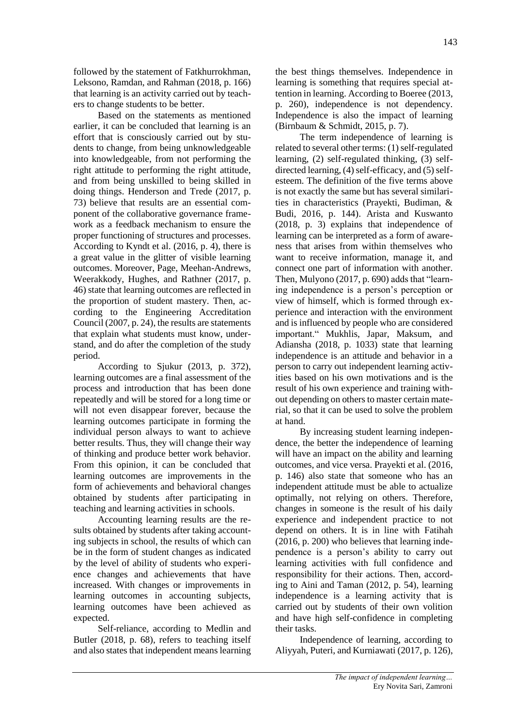followed by the statement of Fatkhurrokhman, Leksono, Ramdan, and Rahman (2018, p. 166) that learning is an activity carried out by teachers to change students to be better.

Based on the statements as mentioned earlier, it can be concluded that learning is an effort that is consciously carried out by students to change, from being unknowledgeable into knowledgeable, from not performing the right attitude to performing the right attitude, and from being unskilled to being skilled in doing things. Henderson and Trede (2017, p. 73) believe that results are an essential component of the collaborative governance framework as a feedback mechanism to ensure the proper functioning of structures and processes. According to Kyndt et al. (2016, p. 4), there is a great value in the glitter of visible learning outcomes. Moreover, Page, Meehan-Andrews, Weerakkody, Hughes, and Rathner (2017, p. 46) state that learning outcomes are reflected in the proportion of student mastery. Then, according to the Engineering Accreditation Council (2007, p. 24), the results are statements that explain what students must know, understand, and do after the completion of the study period.

According to Sjukur (2013, p. 372), learning outcomes are a final assessment of the process and introduction that has been done repeatedly and will be stored for a long time or will not even disappear forever, because the learning outcomes participate in forming the individual person always to want to achieve better results. Thus, they will change their way of thinking and produce better work behavior. From this opinion, it can be concluded that learning outcomes are improvements in the form of achievements and behavioral changes obtained by students after participating in teaching and learning activities in schools.

Accounting learning results are the results obtained by students after taking accounting subjects in school, the results of which can be in the form of student changes as indicated by the level of ability of students who experience changes and achievements that have increased. With changes or improvements in learning outcomes in accounting subjects, learning outcomes have been achieved as expected.

Self-reliance, according to Medlin and Butler (2018, p. 68), refers to teaching itself and also states that independent means learning

the best things themselves. Independence in learning is something that requires special attention in learning. According to Boeree (2013, p. 260), independence is not dependency. Independence is also the impact of learning (Birnbaum & Schmidt, 2015, p. 7).

The term independence of learning is related to several other terms: (1) self-regulated learning, (2) self-regulated thinking, (3) selfdirected learning, (4) self-efficacy, and (5) selfesteem. The definition of the five terms above is not exactly the same but has several similarities in characteristics (Prayekti, Budiman, & Budi, 2016, p. 144). Arista and Kuswanto (2018, p. 3) explains that independence of learning can be interpreted as a form of awareness that arises from within themselves who want to receive information, manage it, and connect one part of information with another. Then, Mulyono (2017, p. 690) adds that "learning independence is a person's perception or view of himself, which is formed through experience and interaction with the environment and is influenced by people who are considered important." Mukhlis, Japar, Maksum, and Adiansha (2018, p. 1033) state that learning independence is an attitude and behavior in a person to carry out independent learning activities based on his own motivations and is the result of his own experience and training without depending on others to master certain material, so that it can be used to solve the problem at hand.

By increasing student learning independence, the better the independence of learning will have an impact on the ability and learning outcomes, and vice versa. Prayekti et al. (2016, p. 146) also state that someone who has an independent attitude must be able to actualize optimally, not relying on others. Therefore, changes in someone is the result of his daily experience and independent practice to not depend on others. It is in line with Fatihah (2016, p. 200) who believes that learning independence is a person's ability to carry out learning activities with full confidence and responsibility for their actions. Then, according to Aini and Taman (2012, p. 54), learning independence is a learning activity that is carried out by students of their own volition and have high self-confidence in completing their tasks.

Independence of learning, according to Aliyyah, Puteri, and Kurniawati (2017, p. 126),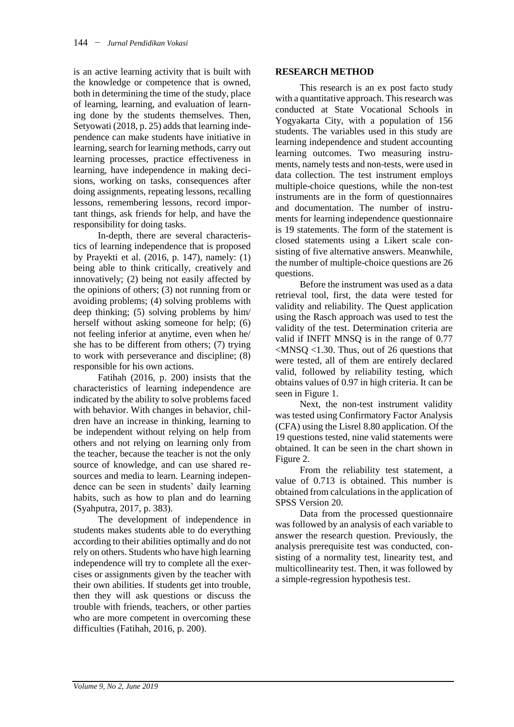is an active learning activity that is built with the knowledge or competence that is owned, both in determining the time of the study, place of learning, learning, and evaluation of learning done by the students themselves. Then, Setyowati (2018, p. 25) adds that learning independence can make students have initiative in learning, search for learning methods, carry out learning processes, practice effectiveness in learning, have independence in making decisions, working on tasks, consequences after doing assignments, repeating lessons, recalling lessons, remembering lessons, record important things, ask friends for help, and have the responsibility for doing tasks.

In-depth, there are several characteristics of learning independence that is proposed by Prayekti et al. (2016, p. 147), namely: (1) being able to think critically, creatively and innovatively; (2) being not easily affected by the opinions of others; (3) not running from or avoiding problems; (4) solving problems with deep thinking; (5) solving problems by him/ herself without asking someone for help; (6) not feeling inferior at anytime, even when he/ she has to be different from others; (7) trying to work with perseverance and discipline; (8) responsible for his own actions.

Fatihah (2016, p. 200) insists that the characteristics of learning independence are indicated by the ability to solve problems faced with behavior. With changes in behavior, children have an increase in thinking, learning to be independent without relying on help from others and not relying on learning only from the teacher, because the teacher is not the only source of knowledge, and can use shared resources and media to learn. Learning independence can be seen in students' daily learning habits, such as how to plan and do learning (Syahputra, 2017, p. 383).

The development of independence in students makes students able to do everything according to their abilities optimally and do not rely on others. Students who have high learning independence will try to complete all the exercises or assignments given by the teacher with their own abilities. If students get into trouble, then they will ask questions or discuss the trouble with friends, teachers, or other parties who are more competent in overcoming these difficulties (Fatihah, 2016, p. 200).

#### **RESEARCH METHOD**

This research is an ex post facto study with a quantitative approach. This research was conducted at State Vocational Schools in Yogyakarta City, with a population of 156 students. The variables used in this study are learning independence and student accounting learning outcomes. Two measuring instruments, namely tests and non-tests, were used in data collection. The test instrument employs multiple-choice questions, while the non-test instruments are in the form of questionnaires and documentation. The number of instruments for learning independence questionnaire is 19 statements. The form of the statement is closed statements using a Likert scale consisting of five alternative answers. Meanwhile, the number of multiple-choice questions are 26 questions.

Before the instrument was used as a data retrieval tool, first, the data were tested for validity and reliability. The Quest application using the Rasch approach was used to test the validity of the test. Determination criteria are valid if INFIT MNSQ is in the range of 0.77 <MNSQ <1.30. Thus, out of 26 questions that were tested, all of them are entirely declared valid, followed by reliability testing, which obtains values of 0.97 in high criteria. It can be seen in Figure 1.

Next, the non-test instrument validity was tested using Confirmatory Factor Analysis (CFA) using the Lisrel 8.80 application. Of the 19 questions tested, nine valid statements were obtained. It can be seen in the chart shown in Figure 2.

From the reliability test statement, a value of 0.713 is obtained. This number is obtained from calculations in the application of SPSS Version 20.

Data from the processed questionnaire was followed by an analysis of each variable to answer the research question. Previously, the analysis prerequisite test was conducted, consisting of a normality test, linearity test, and multicollinearity test. Then, it was followed by a simple-regression hypothesis test.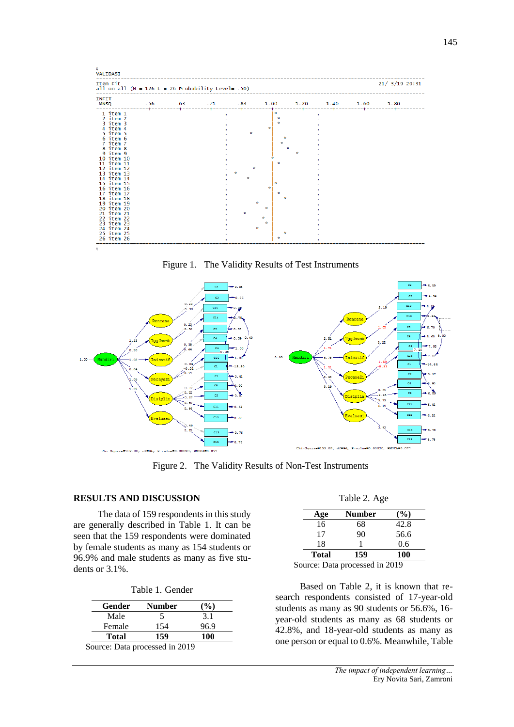| Item Fit<br>all on all $(N = 126 L = 26$ Probability Level= .50)                                                                                                                                                                                                                                                                                           |  |   |                        |                                | $21/$ 3/19 20:31 |
|------------------------------------------------------------------------------------------------------------------------------------------------------------------------------------------------------------------------------------------------------------------------------------------------------------------------------------------------------------|--|---|------------------------|--------------------------------|------------------|
| <b>INFIT</b><br><b>MNSQ</b>                                                                                                                                                                                                                                                                                                                                |  |   |                        | $1.00 \t 1.20 \t 1.40 \t 1.60$ | 1.80             |
| $1$ item $1$<br>2 item 2<br>3 item 3<br>4 item 4<br>5 item 5<br>6 item 6<br>7 item 7<br>8 item 8<br>9 item 9<br>10 item 10<br>11 item 11<br>12 item 12<br>13 item 13<br>14 item 14<br>15 item 15<br>16 item 16<br>17 item 17<br>18 item 18<br>19 item 19<br>20 item 20<br>21 item 21<br>22 item 22<br>23 item 23<br>24 item 24<br>25 item 25<br>26 item 26 |  | ÷ | ×.<br>ŵ<br>÷<br>ŵ<br>ŵ |                                |                  |

Figure 1. The Validity Results of Test Instruments



Figure 2. The Validity Results of Non-Test Instruments

## **RESULTS AND DISCUSSION**

The data of 159 respondents in this study are generally described in Table 1. It can be seen that the 159 respondents were dominated by female students as many as 154 students or 96.9% and male students as many as five students or 3.1%.

|  | Table 1. Gender |
|--|-----------------|
|--|-----------------|

| Gender       | <b>Number</b> | $\%$ |
|--------------|---------------|------|
| Male         | ╮             | 3.1  |
| Female       | 154           | 96.9 |
| <b>Total</b> | 159           | 100  |

| Table 2. Age |  |  |
|--------------|--|--|
|--------------|--|--|

| Age                      | Number | $\mathcal{O}_0$ |
|--------------------------|--------|-----------------|
| 16                       | 68     | 42.8            |
| 17                       | 90     | 56.6            |
| 18                       |        | 0.6             |
| <b>Total</b>             | 159    | 100             |
| $\overline{\phantom{a}}$ |        | -------         |

Source: Data processed in 2019

Based on Table 2, it is known that research respondents consisted of 17-year-old students as many as 90 students or 56.6%, 16 year-old students as many as 68 students or 42.8%, and 18-year-old students as many as one person or equal to 0.6%. Meanwhile, Table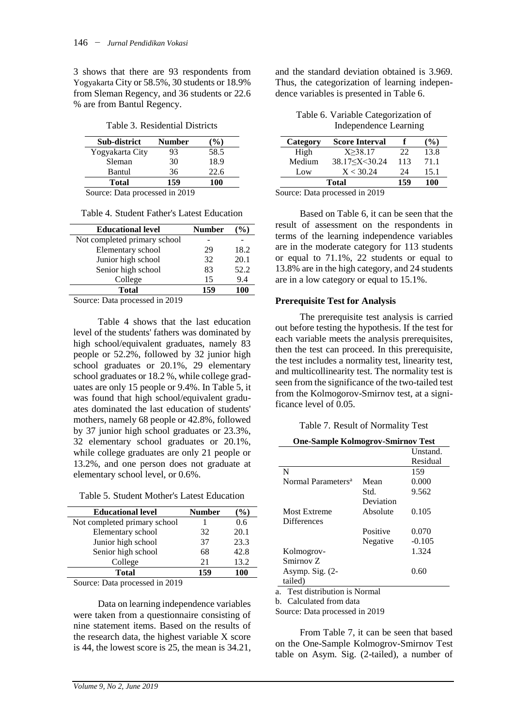3 shows that there are 93 respondents from Yogyakarta City or 58.5%, 30 students or 18.9% from Sleman Regency, and 36 students or 22.6 % are from Bantul Regency.

Table 3. Residential Districts

| Sub-district                                                                                                                                                                                                                                                                                                                                                                     | <b>Number</b> | $(\%)$ |
|----------------------------------------------------------------------------------------------------------------------------------------------------------------------------------------------------------------------------------------------------------------------------------------------------------------------------------------------------------------------------------|---------------|--------|
| Yogyakarta City                                                                                                                                                                                                                                                                                                                                                                  | 93            | 58.5   |
| Sleman                                                                                                                                                                                                                                                                                                                                                                           | 30            | 18.9   |
| Bantul                                                                                                                                                                                                                                                                                                                                                                           | 36            | 22.6   |
| <b>Total</b>                                                                                                                                                                                                                                                                                                                                                                     | 159           | 100    |
| $\alpha$ $\beta$ , $\beta$ , $\beta$ , $\beta$ , $\beta$ , $\beta$ , $\beta$ , $\beta$ , $\beta$ , $\beta$ , $\beta$ , $\beta$ , $\beta$ , $\beta$ , $\beta$ , $\beta$ , $\beta$ , $\beta$ , $\beta$ , $\beta$ , $\beta$ , $\beta$ , $\beta$ , $\beta$ , $\beta$ , $\beta$ , $\beta$ , $\beta$ , $\beta$ , $\beta$ , $\beta$ , $\beta$ , $\beta$ , $\beta$ , $\beta$ , $\beta$ , |               |        |

Source: Data processed in 2019

| <b>Educational level</b>      | <b>Number</b> | $\%$ |
|-------------------------------|---------------|------|
| Not completed primary school  |               |      |
| Elementary school             | 29            | 18.2 |
| Junior high school            | 32            | 20.1 |
| Senior high school            | 83            | 52.2 |
| College                       | 15            | 9.4  |
| Total                         | 159           | 100  |
| Course Date processed in 2010 |               |      |

Source: Data processed in 2019

Table 4 shows that the last education level of the students' fathers was dominated by high school/equivalent graduates, namely 83 people or 52.2%, followed by 32 junior high school graduates or 20.1%, 29 elementary school graduates or 18.2 %, while college graduates are only 15 people or 9.4%. In Table 5, it was found that high school/equivalent graduates dominated the last education of students' mothers, namely 68 people or 42.8%, followed by 37 junior high school graduates or 23.3%, 32 elementary school graduates or 20.1%, while college graduates are only 21 people or 13.2%, and one person does not graduate at elementary school level, or 0.6%.

Table 5. Student Mother's Latest Education

| <b>Educational level</b>     | <b>Number</b> | $\%$ |
|------------------------------|---------------|------|
| Not completed primary school |               | 0.6  |
| Elementary school            | 32            | 20.1 |
| Junior high school           | 37            | 23.3 |
| Senior high school           | 68            | 42.8 |
| College                      | 21            | 13.2 |
| <b>Total</b>                 | 159           | 100  |

Source: Data processed in 2019

Data on learning independence variables were taken from a questionnaire consisting of nine statement items. Based on the results of the research data, the highest variable X score is 44, the lowest score is 25, the mean is 34.21,

and the standard deviation obtained is 3.969. Thus, the categorization of learning independence variables is presented in Table 6.

Table 6. Variable Categorization of Independence Learning

| Category                       | <b>Score Interval</b> |     | $\left(\frac{9}{6}\right)$ |  |
|--------------------------------|-----------------------|-----|----------------------------|--|
| High                           | X > 38.17             | 22  | 13.8                       |  |
| Medium                         | 38.17 < X < 30.24     | 113 | 71.1                       |  |
| Low                            | X < 30.24             | 24  | 15.1                       |  |
| <b>Total</b>                   | 159                   | 100 |                            |  |
| Source: Data processed in 2019 |                       |     |                            |  |

Based on Table 6, it can be seen that the result of assessment on the respondents in terms of the learning independence variables are in the moderate category for 113 students or equal to 71.1%, 22 students or equal to 13.8% are in the high category, and 24 students are in a low category or equal to 15.1%.

## **Prerequisite Test for Analysis**

The prerequisite test analysis is carried out before testing the hypothesis. If the test for each variable meets the analysis prerequisites, then the test can proceed. In this prerequisite, the test includes a normality test, linearity test, and multicollinearity test. The normality test is seen from the significance of the two-tailed test from the Kolmogorov-Smirnov test, at a significance level of 0.05.

Table 7. Result of Normality Test

| <b>One-Sample Kolmogrov-Smirnov Test</b> |           |          |  |
|------------------------------------------|-----------|----------|--|
|                                          |           | Unstand. |  |
|                                          |           | Residual |  |
| N                                        |           | 159      |  |
| Normal Parameters <sup>a</sup>           | Mean      | 0.000    |  |
|                                          | Std.      | 9.562    |  |
|                                          | Deviation |          |  |
| <b>Most Extreme</b>                      | Absolute  | 0.105    |  |
| <b>Differences</b>                       |           |          |  |
|                                          | Positive  | 0.070    |  |
|                                          | Negative  | $-0.105$ |  |
| Kolmogrov-                               |           | 1.324    |  |
| Smirnov Z                                |           |          |  |
| Asymp. Sig. $(2-$                        |           | 0.60     |  |
| tailed)                                  |           |          |  |

a. Test distribution is Normal

b. Calculated from data

Source: Data processed in 2019

From Table 7, it can be seen that based on the One-Sample Kolmogrov-Smirnov Test table on Asym. Sig. (2-tailed), a number of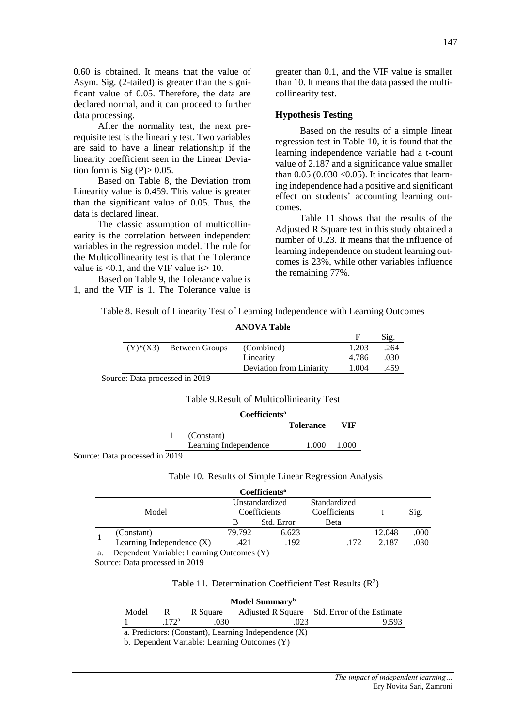0.60 is obtained. It means that the value of Asym. Sig. (2-tailed) is greater than the significant value of 0.05. Therefore, the data are declared normal, and it can proceed to further data processing.

After the normality test, the next prerequisite test is the linearity test. Two variables are said to have a linear relationship if the linearity coefficient seen in the Linear Deviation form is  $\text{Sig (P)} > 0.05$ .

Based on Table 8, the Deviation from Linearity value is 0.459. This value is greater than the significant value of 0.05. Thus, the data is declared linear.

The classic assumption of multicollinearity is the correlation between independent variables in the regression model. The rule for the Multicollinearity test is that the Tolerance value is <0.1, and the VIF value is> 10.

Based on Table 9, the Tolerance value is 1, and the VIF is 1. The Tolerance value is

greater than 0.1, and the VIF value is smaller than 10. It means that the data passed the multicollinearity test.

### **Hypothesis Testing**

Based on the results of a simple linear regression test in Table 10, it is found that the learning independence variable had a t-count value of 2.187 and a significance value smaller than  $0.05$  ( $0.030$  < $0.05$ ). It indicates that learning independence had a positive and significant effect on students' accounting learning outcomes.

Table 11 shows that the results of the Adjusted R Square test in this study obtained a number of 0.23. It means that the influence of learning independence on student learning outcomes is 23%, while other variables influence the remaining 77%.

Table 8. Result of Linearity Test of Learning Independence with Learning Outcomes

| <b>ANOVA Table</b> |                            |                          |       |      |  |
|--------------------|----------------------------|--------------------------|-------|------|--|
|                    |                            |                          |       | Sig. |  |
|                    | $(Y)^*(X3)$ Between Groups | (Combined)               | 1.203 | .264 |  |
|                    |                            | Linearity                | 4.786 | .030 |  |
|                    |                            | Deviation from Liniarity | 1.004 | .459 |  |
|                    | Dete sur i i se i i 0010   |                          |       |      |  |

Source: Data processed in 2019

Table 9.Result of Multicolliniearity Test

|                  | Coefficients <sup>a</sup> |                  |       |  |
|------------------|---------------------------|------------------|-------|--|
|                  |                           | <b>Tolerance</b> | VIF   |  |
|                  | (Constant)                |                  |       |  |
|                  | Learning Independence     | 1.000            | 1.000 |  |
| assessed in 2010 |                           |                  |       |  |

Source: Data processed in 2019

Table 10. Results of Simple Linear Regression Analysis

|       |                             |              | Coefficients <sup>a</sup> |              |        |      |
|-------|-----------------------------|--------------|---------------------------|--------------|--------|------|
| Model |                             |              | Unstandardized            | Standardized |        |      |
|       |                             | Coefficients |                           | Coefficients |        | Sig. |
|       |                             | B            | Std. Error                | Beta         |        |      |
|       | (Constant)                  | 79.792       | 6.623                     |              | 12.048 | .000 |
|       | Learning Independence $(X)$ | .421         | .192                      | .172         | 2.187  | .030 |

a. Dependent Variable: Learning Outcomes (Y)

Source: Data processed in 2019

#### Table 11. Determination Coefficient Test Results  $(R^2)$

| Model Summary <sup>b</sup>                             |                  |          |      |                                              |  |  |  |  |
|--------------------------------------------------------|------------------|----------|------|----------------------------------------------|--|--|--|--|
| Model                                                  |                  | R Square |      | Adjusted R Square Std. Error of the Estimate |  |  |  |  |
|                                                        | 172 <sup>a</sup> | .030     | .023 | 9.593                                        |  |  |  |  |
| a. Predictors: (Constant), Learning Independence $(X)$ |                  |          |      |                                              |  |  |  |  |

b. Dependent Variable: Learning Outcomes (Y)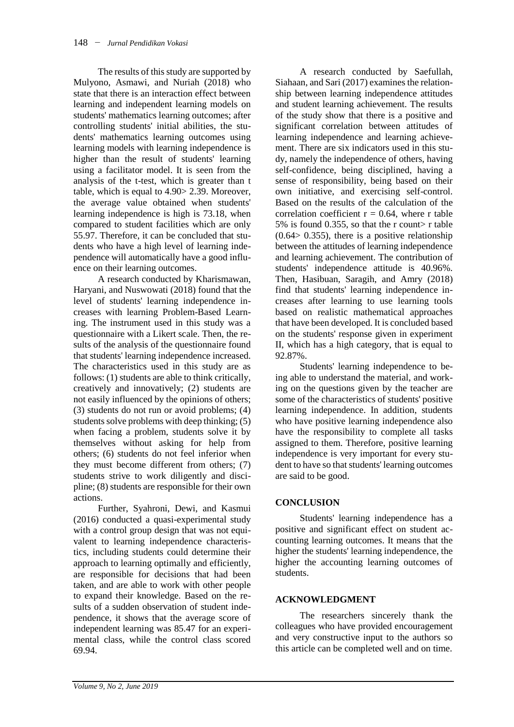The results of this study are supported by Mulyono, Asmawi, and Nuriah (2018) who state that there is an interaction effect between learning and independent learning models on students' mathematics learning outcomes; after controlling students' initial abilities, the students' mathematics learning outcomes using learning models with learning independence is higher than the result of students' learning using a facilitator model. It is seen from the analysis of the t-test, which is greater than t table, which is equal to 4.90> 2.39. Moreover, the average value obtained when students' learning independence is high is 73.18, when compared to student facilities which are only 55.97. Therefore, it can be concluded that students who have a high level of learning independence will automatically have a good influence on their learning outcomes.

A research conducted by Kharismawan, Haryani, and Nuswowati (2018) found that the level of students' learning independence increases with learning Problem-Based Learning. The instrument used in this study was a questionnaire with a Likert scale. Then, the results of the analysis of the questionnaire found that students' learning independence increased. The characteristics used in this study are as follows: (1) students are able to think critically, creatively and innovatively; (2) students are not easily influenced by the opinions of others; (3) students do not run or avoid problems; (4) students solve problems with deep thinking; (5) when facing a problem, students solve it by themselves without asking for help from others; (6) students do not feel inferior when they must become different from others; (7) students strive to work diligently and discipline; (8) students are responsible for their own actions.

Further, Syahroni, Dewi, and Kasmui (2016) conducted a quasi-experimental study with a control group design that was not equivalent to learning independence characteristics, including students could determine their approach to learning optimally and efficiently, are responsible for decisions that had been taken, and are able to work with other people to expand their knowledge. Based on the results of a sudden observation of student independence, it shows that the average score of independent learning was 85.47 for an experimental class, while the control class scored 69.94.

A research conducted by Saefullah, Siahaan, and Sari (2017) examines the relationship between learning independence attitudes and student learning achievement. The results of the study show that there is a positive and significant correlation between attitudes of learning independence and learning achievement. There are six indicators used in this study, namely the independence of others, having self-confidence, being disciplined, having a sense of responsibility, being based on their own initiative, and exercising self-control. Based on the results of the calculation of the correlation coefficient  $r = 0.64$ , where r table 5% is found 0.355, so that the r count> r table  $(0.64 > 0.355)$ , there is a positive relationship between the attitudes of learning independence and learning achievement. The contribution of students' independence attitude is 40.96%. Then, Hasibuan, Saragih, and Amry (2018) find that students' learning independence increases after learning to use learning tools based on realistic mathematical approaches that have been developed. It is concluded based on the students' response given in experiment II, which has a high category, that is equal to 92.87%.

Students' learning independence to being able to understand the material, and working on the questions given by the teacher are some of the characteristics of students' positive learning independence. In addition, students who have positive learning independence also have the responsibility to complete all tasks assigned to them. Therefore, positive learning independence is very important for every student to have so that students' learning outcomes are said to be good.

# **CONCLUSION**

Students' learning independence has a positive and significant effect on student accounting learning outcomes. It means that the higher the students' learning independence, the higher the accounting learning outcomes of students.

# **ACKNOWLEDGMENT**

The researchers sincerely thank the colleagues who have provided encouragement and very constructive input to the authors so this article can be completed well and on time.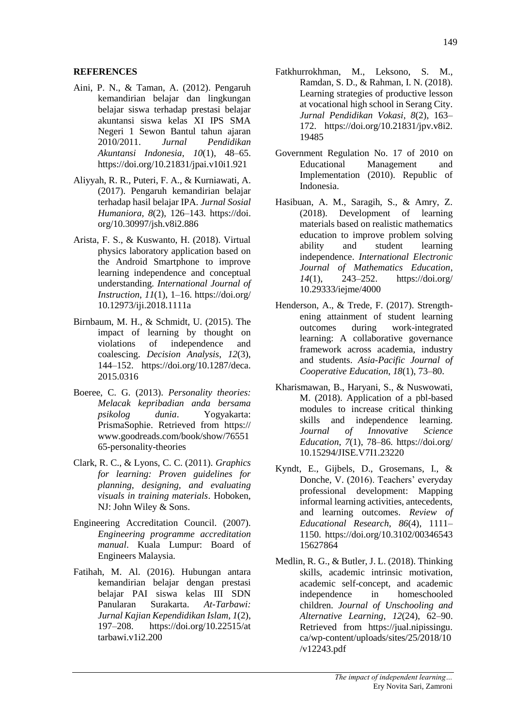## **REFERENCES**

- Aini, P. N., & Taman, A. (2012). Pengaruh kemandirian belajar dan lingkungan belajar siswa terhadap prestasi belajar akuntansi siswa kelas XI IPS SMA Negeri 1 Sewon Bantul tahun ajaran 2010/2011. *Jurnal Pendidikan Akuntansi Indonesia*, *10*(1), 48–65. https://doi.org/10.21831/jpai.v10i1.921
- Aliyyah, R. R., Puteri, F. A., & Kurniawati, A. (2017). Pengaruh kemandirian belajar terhadap hasil belajar IPA. *Jurnal Sosial Humaniora*, *8*(2), 126–143. https://doi. org/10.30997/jsh.v8i2.886
- Arista, F. S., & Kuswanto, H. (2018). Virtual physics laboratory application based on the Android Smartphone to improve learning independence and conceptual understanding. *International Journal of Instruction*, *11*(1), 1–16. https://doi.org/ 10.12973/iji.2018.1111a
- Birnbaum, M. H., & Schmidt, U. (2015). The impact of learning by thought on violations of independence and coalescing. *Decision Analysis*, *12*(3), 144–152. https://doi.org/10.1287/deca. 2015.0316
- Boeree, C. G. (2013). *Personality theories: Melacak kepribadian anda bersama psikolog dunia*. Yogyakarta: PrismaSophie. Retrieved from https:// www.goodreads.com/book/show/76551 65-personality-theories
- Clark, R. C., & Lyons, C. C. (2011). *Graphics for learning: Proven guidelines for planning, designing, and evaluating visuals in training materials*. Hoboken, NJ: John Wiley & Sons.
- Engineering Accreditation Council. (2007). *Engineering programme accreditation manual*. Kuala Lumpur: Board of Engineers Malaysia.
- Fatihah, M. Al. (2016). Hubungan antara kemandirian belajar dengan prestasi belajar PAI siswa kelas III SDN Panularan Surakarta. *At-Tarbawi: Jurnal Kajian Kependidikan Islam*, *1*(2), 197–208. https://doi.org/10.22515/at tarbawi.v1i2.200
- Fatkhurrokhman, M., Leksono, S. M., Ramdan, S. D., & Rahman, I. N. (2018). Learning strategies of productive lesson at vocational high school in Serang City. *Jurnal Pendidikan Vokasi*, *8*(2), 163– 172. https://doi.org/10.21831/jpv.v8i2. 19485
- Government Regulation No. 17 of 2010 on Educational Management and Implementation (2010). Republic of Indonesia.
- Hasibuan, A. M., Saragih, S., & Amry, Z. (2018). Development of learning materials based on realistic mathematics education to improve problem solving ability and student learning independence. *International Electronic Journal of Mathematics Education*, *14*(1), 243–252. https://doi.org/ 10.29333/iejme/4000
- Henderson, A., & Trede, F. (2017). Strengthening attainment of student learning outcomes during work-integrated learning: A collaborative governance framework across academia, industry and students. *Asia-Pacific Journal of Cooperative Education*, *18*(1), 73–80.
- Kharismawan, B., Haryani, S., & Nuswowati, M. (2018). Application of a pbl-based modules to increase critical thinking skills and independence learning. *Journal of Innovative Science Education*, *7*(1), 78–86. https://doi.org/ 10.15294/JISE.V7I1.23220
- Kyndt, E., Gijbels, D., Grosemans, I., & Donche, V. (2016). Teachers' everyday professional development: Mapping informal learning activities, antecedents, and learning outcomes. *Review of Educational Research*, *86*(4), 1111– 1150. https://doi.org/10.3102/00346543 15627864
- Medlin, R. G., & Butler, J. L. (2018). Thinking skills, academic intrinsic motivation, academic self-concept, and academic independence in homeschooled children. *Journal of Unschooling and Alternative Learning*, *12*(24), 62–90. Retrieved from https://jual.nipissingu. ca/wp-content/uploads/sites/25/2018/10 /v12243.pdf